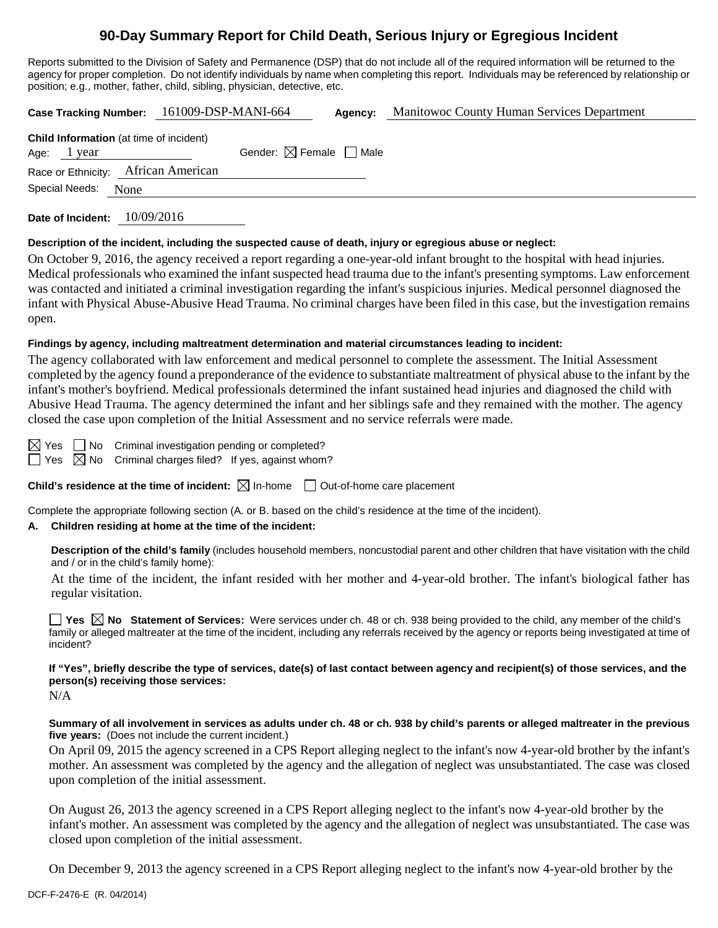# **90-Day Summary Report for Child Death, Serious Injury or Egregious Incident**

Reports submitted to the Division of Safety and Permanence (DSP) that do not include all of the required information will be returned to the agency for proper completion. Do not identify individuals by name when completing this report. Individuals may be referenced by relationship or position; e.g., mother, father, child, sibling, physician, detective, etc.

|                                                                 | Case Tracking Number: 161009-DSP-MANI-664 | Agency: | <b>Manitowoc County Human Services Department</b> |
|-----------------------------------------------------------------|-------------------------------------------|---------|---------------------------------------------------|
| <b>Child Information</b> (at time of incident)<br>Age: $1$ year | Gender: $\boxtimes$ Female $\Box$ Male    |         |                                                   |
| Race or Ethnicity: African American                             |                                           |         |                                                   |
| Special Needs: None                                             |                                           |         |                                                   |
|                                                                 |                                           |         |                                                   |

**Date of Incident:** 10/09/2016

#### **Description of the incident, including the suspected cause of death, injury or egregious abuse or neglect:**

On October 9, 2016, the agency received a report regarding a one-year-old infant brought to the hospital with head injuries. Medical professionals who examined the infant suspected head trauma due to the infant's presenting symptoms. Law enforcement was contacted and initiated a criminal investigation regarding the infant's suspicious injuries. Medical personnel diagnosed the infant with Physical Abuse-Abusive Head Trauma. No criminal charges have been filed in this case, but the investigation remains open.

### **Findings by agency, including maltreatment determination and material circumstances leading to incident:**

The agency collaborated with law enforcement and medical personnel to complete the assessment. The Initial Assessment completed by the agency found a preponderance of the evidence to substantiate maltreatment of physical abuse to the infant by the infant's mother's boyfriend. Medical professionals determined the infant sustained head injuries and diagnosed the child with Abusive Head Trauma. The agency determined the infant and her siblings safe and they remained with the mother. The agency closed the case upon completion of the Initial Assessment and no service referrals were made.

 $\boxtimes$  Yes  $\Box$  No Criminal investigation pending or completed?

 $\Box$  Yes  $\boxtimes$  No Criminal charges filed? If yes, against whom?

**Child's residence at the time of incident:**  $\boxtimes$  In-home  $\Box$  Out-of-home care placement

Complete the appropriate following section (A. or B. based on the child's residence at the time of the incident).

### **A. Children residing at home at the time of the incident:**

**Description of the child's family** (includes household members, noncustodial parent and other children that have visitation with the child and / or in the child's family home):

At the time of the incident, the infant resided with her mother and 4-year-old brother. The infant's biological father has regular visitation.

**Yes**  $\boxtimes$  **No** Statement of Services: Were services under ch. 48 or ch. 938 being provided to the child, any member of the child's family or alleged maltreater at the time of the incident, including any referrals received by the agency or reports being investigated at time of incident?

## **If "Yes", briefly describe the type of services, date(s) of last contact between agency and recipient(s) of those services, and the person(s) receiving those services:**

N/A

**Summary of all involvement in services as adults under ch. 48 or ch. 938 by child's parents or alleged maltreater in the previous five years:** (Does not include the current incident.)

On April 09, 2015 the agency screened in a CPS Report alleging neglect to the infant's now 4-year-old brother by the infant's mother. An assessment was completed by the agency and the allegation of neglect was unsubstantiated. The case was closed upon completion of the initial assessment.

On August 26, 2013 the agency screened in a CPS Report alleging neglect to the infant's now 4-year-old brother by the infant's mother. An assessment was completed by the agency and the allegation of neglect was unsubstantiated. The case was closed upon completion of the initial assessment.

On December 9, 2013 the agency screened in a CPS Report alleging neglect to the infant's now 4-year-old brother by the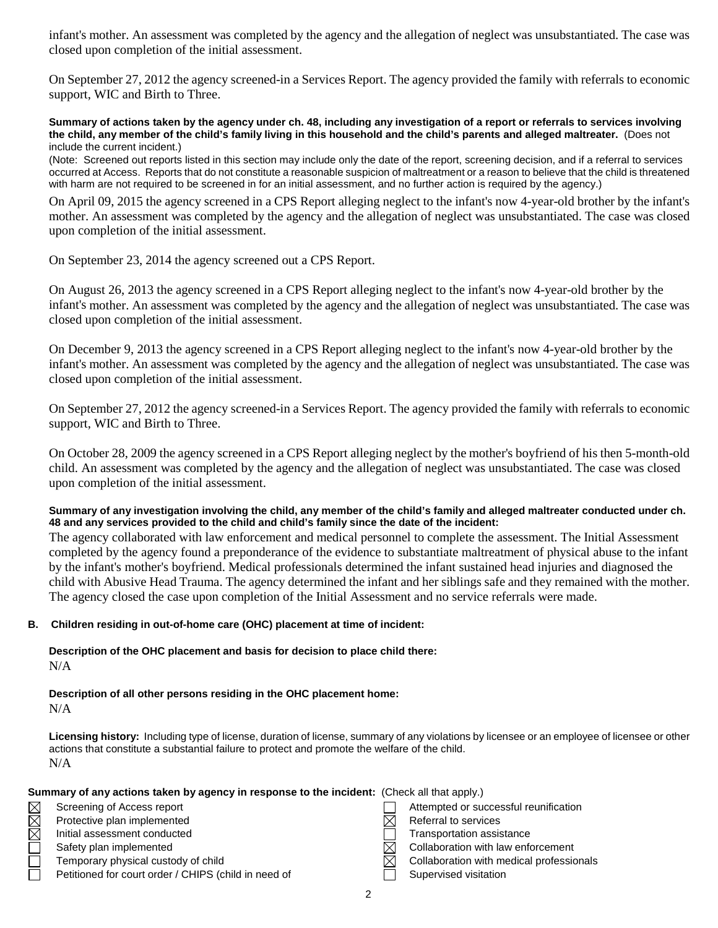infant's mother. An assessment was completed by the agency and the allegation of neglect was unsubstantiated. The case was closed upon completion of the initial assessment.

On September 27, 2012 the agency screened-in a Services Report. The agency provided the family with referrals to economic support, WIC and Birth to Three.

**Summary of actions taken by the agency under ch. 48, including any investigation of a report or referrals to services involving the child, any member of the child's family living in this household and the child's parents and alleged maltreater.** (Does not include the current incident.)

(Note: Screened out reports listed in this section may include only the date of the report, screening decision, and if a referral to services occurred at Access. Reports that do not constitute a reasonable suspicion of maltreatment or a reason to believe that the child is threatened with harm are not required to be screened in for an initial assessment, and no further action is required by the agency.)

On April 09, 2015 the agency screened in a CPS Report alleging neglect to the infant's now 4-year-old brother by the infant's mother. An assessment was completed by the agency and the allegation of neglect was unsubstantiated. The case was closed upon completion of the initial assessment.

On September 23, 2014 the agency screened out a CPS Report.

On August 26, 2013 the agency screened in a CPS Report alleging neglect to the infant's now 4-year-old brother by the infant's mother. An assessment was completed by the agency and the allegation of neglect was unsubstantiated. The case was closed upon completion of the initial assessment.

On December 9, 2013 the agency screened in a CPS Report alleging neglect to the infant's now 4-year-old brother by the infant's mother. An assessment was completed by the agency and the allegation of neglect was unsubstantiated. The case was closed upon completion of the initial assessment.

On September 27, 2012 the agency screened-in a Services Report. The agency provided the family with referrals to economic support, WIC and Birth to Three.

On October 28, 2009 the agency screened in a CPS Report alleging neglect by the mother's boyfriend of his then 5-month-old child. An assessment was completed by the agency and the allegation of neglect was unsubstantiated. The case was closed upon completion of the initial assessment.

**Summary of any investigation involving the child, any member of the child's family and alleged maltreater conducted under ch. 48 and any services provided to the child and child's family since the date of the incident:**

The agency collaborated with law enforcement and medical personnel to complete the assessment. The Initial Assessment completed by the agency found a preponderance of the evidence to substantiate maltreatment of physical abuse to the infant by the infant's mother's boyfriend. Medical professionals determined the infant sustained head injuries and diagnosed the child with Abusive Head Trauma. The agency determined the infant and her siblings safe and they remained with the mother. The agency closed the case upon completion of the Initial Assessment and no service referrals were made.

#### **B. Children residing in out-of-home care (OHC) placement at time of incident:**

**Description of the OHC placement and basis for decision to place child there:** N/A

**Description of all other persons residing in the OHC placement home:** N/A

**Licensing history:** Including type of license, duration of license, summary of any violations by licensee or an employee of licensee or other actions that constitute a substantial failure to protect and promote the welfare of the child. N/A

|             | Summary of any actions taken by agency in response to the incident: (Check all that apply.) |                                          |
|-------------|---------------------------------------------------------------------------------------------|------------------------------------------|
| $\boxtimes$ | Screening of Access report                                                                  | Attempted or successful reunification    |
| $\boxtimes$ | Protective plan implemented                                                                 | Referral to services                     |
| $\boxtimes$ | Initial assessment conducted                                                                | Transportation assistance                |
|             | Safety plan implemented                                                                     | Collaboration with law enforcement       |
|             | Temporary physical custody of child                                                         | Collaboration with medical professionals |
|             | Petitioned for court order / CHIPS (child in need of                                        | Supervised visitation                    |
|             |                                                                                             |                                          |